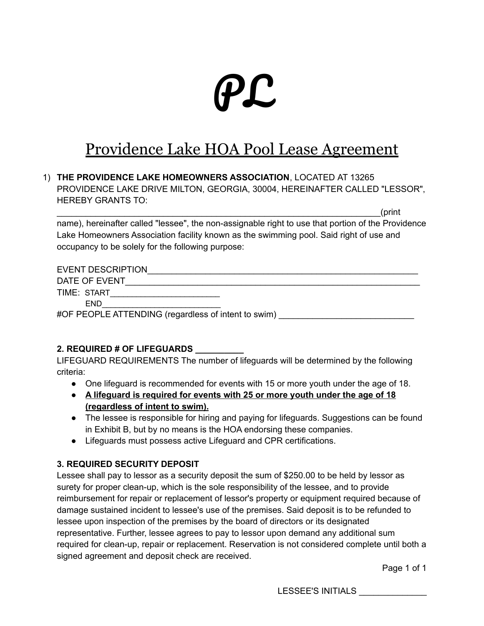# PL

# Providence Lake HOA Pool Lease Agreement

#### 1) **THE PROVIDENCE LAKE HOMEOWNERS ASSOCIATION**, LOCATED AT 13265 PROVIDENCE LAKE DRIVE MILTON, GEORGIA, 30004, HEREINAFTER CALLED "LESSOR", HEREBY GRANTS TO:

 $\Gamma_{\rm eff}$  , the contract of the contract of the contract of the contract of the contract of  $\Gamma_{\rm eff}$ name), hereinafter called "lessee", the non-assignable right to use that portion of the Providence Lake Homeowners Association facility known as the swimming pool. Said right of use and occupancy to be solely for the following purpose:

| <b>EVENT DESCRIPTION</b>                            |
|-----------------------------------------------------|
| DATE OF EVENT                                       |
| TIME: START                                         |
| <b>END</b>                                          |
| #OF PEOPLE ATTENDING (regardless of intent to swim) |

#### **2. REQUIRED # OF LIFEGUARDS \_\_\_\_\_\_\_\_\_\_**

LIFEGUARD REQUIREMENTS The number of lifeguards will be determined by the following criteria:

- One lifeguard is recommended for events with 15 or more youth under the age of 18.
- **● A lifeguard is required for events with 25 or more youth under the age of 18 (regardless of intent to swim).**
- The lessee is responsible for hiring and paying for lifeguards. Suggestions can be found in Exhibit B, but by no means is the HOA endorsing these companies.
- Lifeguards must possess active Lifeguard and CPR certifications.

#### **3. REQUIRED SECURITY DEPOSIT**

Lessee shall pay to lessor as a security deposit the sum of \$250.00 to be held by lessor as surety for proper clean-up, which is the sole responsibility of the lessee, and to provide reimbursement for repair or replacement of lessor's property or equipment required because of damage sustained incident to lessee's use of the premises. Said deposit is to be refunded to lessee upon inspection of the premises by the board of directors or its designated representative. Further, lessee agrees to pay to lessor upon demand any additional sum required for clean-up, repair or replacement. Reservation is not considered complete until both a signed agreement and deposit check are received.

Page 1 of 1

LESSEE'S INITIALS \_\_\_\_\_\_\_\_\_\_\_\_\_\_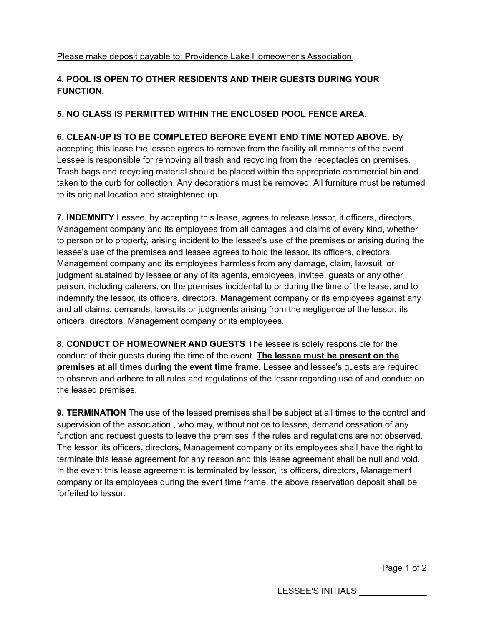#### **4. POOL IS OPEN TO OTHER RESIDENTS AND THEIR GUESTS DURING YOUR FUNCTION.**

#### **5. NO GLASS IS PERMITTED WITHIN THE ENCLOSED POOL FENCE AREA.**

#### **6. CLEAN-UP IS TO BE COMPLETED BEFORE EVENT END TIME NOTED ABOVE.** By

accepting this lease the lessee agrees to remove from the facility all remnants of the event. Lessee is responsible for removing all trash and recycling from the receptacles on premises. Trash bags and recycling material should be placed within the appropriate commercial bin and taken to the curb for collection. Any decorations must be removed. All furniture must be returned to its original location and straightened up.

**7. INDEMNITY** Lessee, by accepting this lease, agrees to release lessor, it officers, directors, Management company and its employees from all damages and claims of every kind, whether to person or to property, arising incident to the lessee's use of the premises or arising during the lessee's use of the premises and lessee agrees to hold the lessor, its officers, directors, Management company and its employees harmless from any damage, claim, lawsuit, or judgment sustained by lessee or any of its agents, employees, invitee, guests or any other person, including caterers, on the premises incidental to or during the time of the lease, and to indemnify the lessor, its officers, directors, Management company or its employees against any and all claims, demands, lawsuits or judgments arising from the negligence of the lessor, its officers, directors, Management company or its employees.

**8. CONDUCT OF HOMEOWNER AND GUESTS** The lessee is solely responsible for the conduct of their guests during the time of the event. **The lessee must be present on the premises at all times during the event time frame.** Lessee and lessee's guests are required to observe and adhere to all rules and regulations of the lessor regarding use of and conduct on the leased premises.

**9. TERMINATION** The use of the leased premises shall be subject at all times to the control and supervision of the association , who may, without notice to lessee, demand cessation of any function and request guests to leave the premises if the rules and regulations are not observed. The lessor, its officers, directors, Management company or its employees shall have the right to terminate this lease agreement for any reason and this lease agreement shall be null and void. In the event this lease agreement is terminated by lessor, its officers, directors, Management company or its employees during the event time frame, the above reservation deposit shall be forfeited to lessor.

Page 1 of 2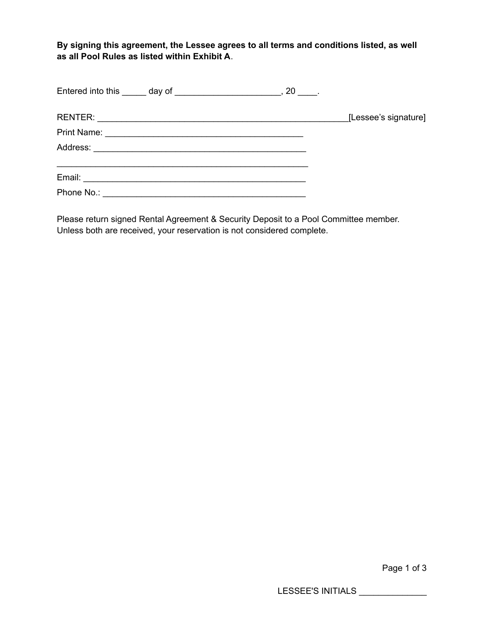**By signing this agreement, the Lessee agrees to all terms and conditions listed, as well as all Pool Rules as listed within Exhibit A**.

|  | [Lessee's signature] |
|--|----------------------|
|  |                      |
|  |                      |
|  |                      |
|  |                      |

Please return signed Rental Agreement & Security Deposit to a Pool Committee member. Unless both are received, your reservation is not considered complete.

Page 1 of 3

LESSEE'S INITIALS \_\_\_\_\_\_\_\_\_\_\_\_\_\_\_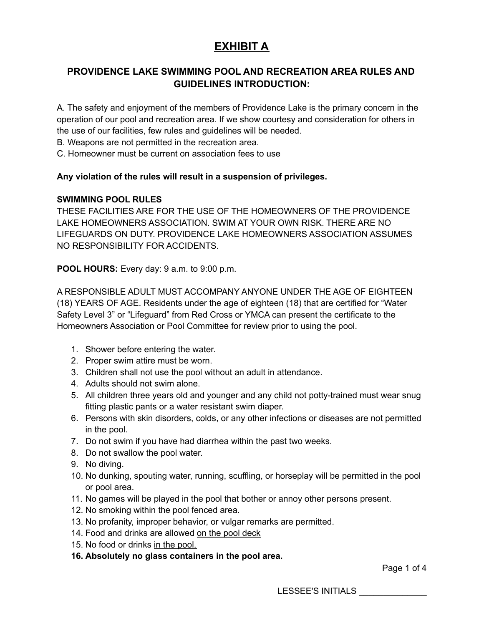# **EXHIBIT A**

### **PROVIDENCE LAKE SWIMMING POOL AND RECREATION AREA RULES AND GUIDELINES INTRODUCTION:**

A. The safety and enjoyment of the members of Providence Lake is the primary concern in the operation of our pool and recreation area. If we show courtesy and consideration for others in the use of our facilities, few rules and guidelines will be needed.

B. Weapons are not permitted in the recreation area.

C. Homeowner must be current on association fees to use

#### **Any violation of the rules will result in a suspension of privileges.**

#### **SWIMMING POOL RULES**

THESE FACILITIES ARE FOR THE USE OF THE HOMEOWNERS OF THE PROVIDENCE LAKE HOMEOWNERS ASSOCIATION. SWIM AT YOUR OWN RISK. THERE ARE NO LIFEGUARDS ON DUTY. PROVIDENCE LAKE HOMEOWNERS ASSOCIATION ASSUMES NO RESPONSIBILITY FOR ACCIDENTS.

**POOL HOURS:** Every day: 9 a.m. to 9:00 p.m.

A RESPONSIBLE ADULT MUST ACCOMPANY ANYONE UNDER THE AGE OF EIGHTEEN (18) YEARS OF AGE. Residents under the age of eighteen (18) that are certified for "Water Safety Level 3" or "Lifeguard" from Red Cross or YMCA can present the certificate to the Homeowners Association or Pool Committee for review prior to using the pool.

- 1. Shower before entering the water.
- 2. Proper swim attire must be worn.
- 3. Children shall not use the pool without an adult in attendance.
- 4. Adults should not swim alone.
- 5. All children three years old and younger and any child not potty-trained must wear snug fitting plastic pants or a water resistant swim diaper.
- 6. Persons with skin disorders, colds, or any other infections or diseases are not permitted in the pool.
- 7. Do not swim if you have had diarrhea within the past two weeks.
- 8. Do not swallow the pool water.
- 9. No diving.
- 10. No dunking, spouting water, running, scuffling, or horseplay will be permitted in the pool or pool area.
- 11. No games will be played in the pool that bother or annoy other persons present.
- 12. No smoking within the pool fenced area.
- 13. No profanity, improper behavior, or vulgar remarks are permitted.
- 14. Food and drinks are allowed on the pool deck
- 15. No food or drinks in the pool.
- **16. Absolutely no glass containers in the pool area.**

Page 1 of 4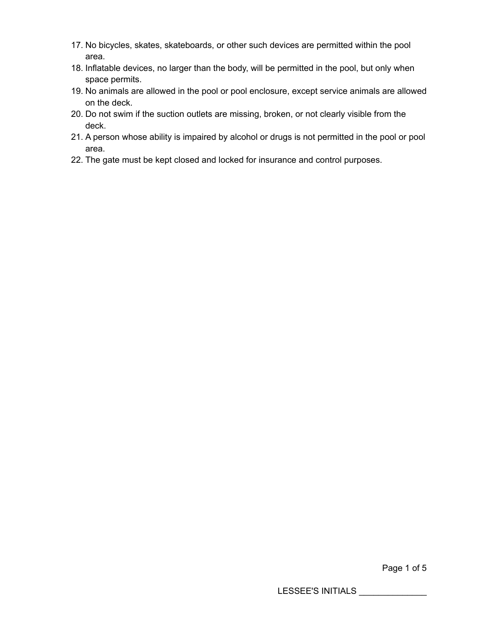- 17. No bicycles, skates, skateboards, or other such devices are permitted within the pool area.
- 18. Inflatable devices, no larger than the body, will be permitted in the pool, but only when space permits.
- 19. No animals are allowed in the pool or pool enclosure, except service animals are allowed on the deck.
- 20. Do not swim if the suction outlets are missing, broken, or not clearly visible from the deck.
- 21. A person whose ability is impaired by alcohol or drugs is not permitted in the pool or pool area.
- 22. The gate must be kept closed and locked for insurance and control purposes.